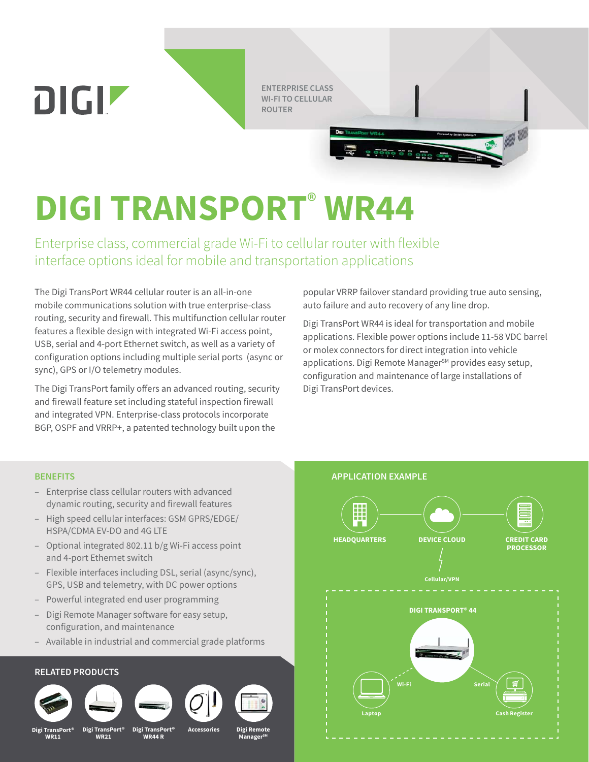**ENTERPRISE CLASS<br>WI-FI TO CELLULAR<br>ROUTER WI-FI TO CELLULAR ROUTER**

# **DIGI TRANSPORT**®

Enterprise class, commercial grade Wi-Fi to cellular router with flexible interface options ideal for mobile and transportation applications

The Digi TransPort WR44 cellular router is an all-in-one mobile communications solution with true enterprise-class routing, security and firewall. This multifunction cellular router features a flexible design with integrated Wi-Fi access point, USB, serial and 4-port Ethernet switch, as well as a variety of configuration options including multiple serial ports (async or sync), GPS or I/O telemetry modules.

The Digi TransPort family offers an advanced routing, security and firewall feature set including stateful inspection firewall and integrated VPN. Enterprise-class protocols incorporate BGP, OSPF and VRRP+, a patented technology built upon the

popular VRRP failover standard providing true auto sensing, auto failure and auto recovery of any line drop.

 $9000000000000$ 

Digi TransPort WR44 is ideal for transportation and mobile applications. Flexible power options include 11-58 VDC barrel or molex connectors for direct integration into vehicle applications. Digi Remote Manager<sup>SM</sup> provides easy setup, configuration and maintenance of large installations of Digi TransPort devices.

DIGIZ

- Enterprise class cellular routers with advanced dynamic routing, security and firewall features
- High speed cellular interfaces: GSM GPRS/EDGE/ HSPA/CDMA EV-DO and 4G LTE
- Optional integrated 802.11 b/g Wi-Fi access point and 4-port Ethernet switch
- Flexible interfaces including DSL, serial (async/sync), GPS, USB and telemetry, with DC power options
- Powerful integrated end user programming
- Digi Remote Manager software for easy setup, configuration, and maintenance
- Available in industrial and commercial grade platforms

## **RELATED PRODUCTS**



**Digital** WR11



**WR21** 

Digi TransPort<sup>®</sup>



WR44 R





**ManagerSM**

**Accessories** Digital Property Digital Remote Property Managers Music Remote Property Music Remote Digital Property  $\mathbf{M}$ 

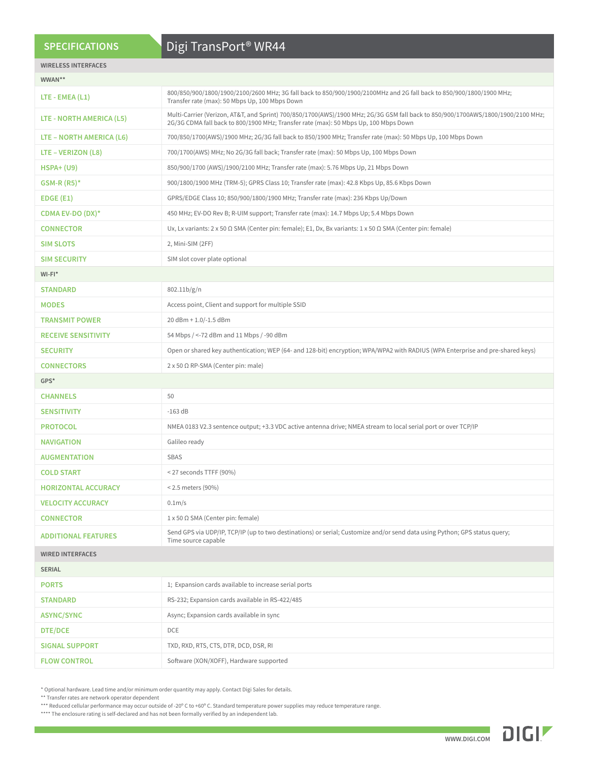## **SPECIFICATIONS**

# Digi TransPort® WR44

| <b>WIRELESS INTERFACES</b> |                                                                                                                                                                                                                          |  |  |  |  |  |  |
|----------------------------|--------------------------------------------------------------------------------------------------------------------------------------------------------------------------------------------------------------------------|--|--|--|--|--|--|
| WWAN**                     |                                                                                                                                                                                                                          |  |  |  |  |  |  |
| LTE - EMEA $(L1)$          | 800/850/900/1800/1900/2100/2600 MHz; 3G fall back to 850/900/1900/2100MHz and 2G fall back to 850/900/1800/1900 MHz;<br>Transfer rate (max): 50 Mbps Up, 100 Mbps Down                                                   |  |  |  |  |  |  |
| LTE - NORTH AMERICA (L5)   | Multi-Carrier (Verizon, AT&T, and Sprint) 700/850/1700(AWS)/1900 MHz; 2G/3G GSM fall back to 850/900/1700AWS/1800/1900/2100 MHz;<br>2G/3G CDMA fall back to 800/1900 MHz; Transfer rate (max): 50 Mbps Up, 100 Mbps Down |  |  |  |  |  |  |
| LTE - NORTH AMERICA (L6)   | 700/850/1700(AWS)/1900 MHz; 2G/3G fall back to 850/1900 MHz; Transfer rate (max): 50 Mbps Up, 100 Mbps Down                                                                                                              |  |  |  |  |  |  |
| LTE - VERIZON (L8)         | 700/1700(AWS) MHz; No 2G/3G fall back; Transfer rate (max): 50 Mbps Up, 100 Mbps Down                                                                                                                                    |  |  |  |  |  |  |
| $HSPA+ (U9)$               | 850/900/1700 (AWS)/1900/2100 MHz; Transfer rate (max): 5.76 Mbps Up, 21 Mbps Down                                                                                                                                        |  |  |  |  |  |  |
| $GSM-R (R5)*$              | 900/1800/1900 MHz (TRM-5); GPRS Class 10; Transfer rate (max): 42.8 Kbps Up, 85.6 Kbps Down                                                                                                                              |  |  |  |  |  |  |
| EDGE(E1)                   | GPRS/EDGE Class 10; 850/900/1800/1900 MHz; Transfer rate (max): 236 Kbps Up/Down                                                                                                                                         |  |  |  |  |  |  |
| CDMA EV-DO $(DX)^*$        | 450 MHz; EV-DO Rev B; R-UIM support; Transfer rate (max): 14.7 Mbps Up; 5.4 Mbps Down                                                                                                                                    |  |  |  |  |  |  |
| <b>CONNECTOR</b>           | Ux, Lx variants: 2 x 50 $\Omega$ SMA (Center pin: female); E1, Dx, Bx variants: 1 x 50 $\Omega$ SMA (Center pin: female)                                                                                                 |  |  |  |  |  |  |
| <b>SIM SLOTS</b>           | 2, Mini-SIM (2FF)                                                                                                                                                                                                        |  |  |  |  |  |  |
| <b>SIM SECURITY</b>        | SIM slot cover plate optional                                                                                                                                                                                            |  |  |  |  |  |  |
| $WI-FI^*$                  |                                                                                                                                                                                                                          |  |  |  |  |  |  |
| <b>STANDARD</b>            | 802.11b/g/n                                                                                                                                                                                                              |  |  |  |  |  |  |
| <b>MODES</b>               | Access point, Client and support for multiple SSID                                                                                                                                                                       |  |  |  |  |  |  |
| <b>TRANSMIT POWER</b>      | 20 dBm + 1.0/-1.5 dBm                                                                                                                                                                                                    |  |  |  |  |  |  |
| <b>RECEIVE SENSITIVITY</b> | 54 Mbps / <- 72 dBm and 11 Mbps / -90 dBm                                                                                                                                                                                |  |  |  |  |  |  |
| <b>SECURITY</b>            | Open or shared key authentication; WEP (64- and 128-bit) encryption; WPA/WPA2 with RADIUS (WPA Enterprise and pre-shared keys)                                                                                           |  |  |  |  |  |  |
| <b>CONNECTORS</b>          | $2 \times 50 \Omega$ RP-SMA (Center pin: male)                                                                                                                                                                           |  |  |  |  |  |  |
| GPS*                       |                                                                                                                                                                                                                          |  |  |  |  |  |  |
| <b>CHANNELS</b>            | 50                                                                                                                                                                                                                       |  |  |  |  |  |  |
| <b>SENSITIVITY</b>         | $-163$ dB                                                                                                                                                                                                                |  |  |  |  |  |  |
| <b>PROTOCOL</b>            | NMEA 0183 V2.3 sentence output; +3.3 VDC active antenna drive; NMEA stream to local serial port or over TCP/IP                                                                                                           |  |  |  |  |  |  |
| <b>NAVIGATION</b>          | Galileo ready                                                                                                                                                                                                            |  |  |  |  |  |  |
| <b>AUGMENTATION</b>        | <b>SBAS</b>                                                                                                                                                                                                              |  |  |  |  |  |  |
| <b>COLD START</b>          | < 27 seconds TTFF (90%)                                                                                                                                                                                                  |  |  |  |  |  |  |
| <b>HORIZONTAL ACCURACY</b> | $<$ 2.5 meters (90%)                                                                                                                                                                                                     |  |  |  |  |  |  |
| <b>VELOCITY ACCURACY</b>   | 0.1 <sub>m</sub> /s                                                                                                                                                                                                      |  |  |  |  |  |  |
| <b>CONNECTOR</b>           | $1 \times 50 \Omega$ SMA (Center pin: female)                                                                                                                                                                            |  |  |  |  |  |  |
| <b>ADDITIONAL FEATURES</b> | Send GPS via UDP/IP, TCP/IP (up to two destinations) or serial; Customize and/or send data using Python; GPS status query;<br>Time source capable                                                                        |  |  |  |  |  |  |
| <b>WIRED INTERFACES</b>    |                                                                                                                                                                                                                          |  |  |  |  |  |  |
| <b>SERIAL</b>              |                                                                                                                                                                                                                          |  |  |  |  |  |  |
| <b>PORTS</b>               | 1; Expansion cards available to increase serial ports                                                                                                                                                                    |  |  |  |  |  |  |
| <b>STANDARD</b>            | RS-232; Expansion cards available in RS-422/485                                                                                                                                                                          |  |  |  |  |  |  |
| <b>ASYNC/SYNC</b>          | Async; Expansion cards available in sync                                                                                                                                                                                 |  |  |  |  |  |  |
| <b>DTE/DCE</b>             | DCE                                                                                                                                                                                                                      |  |  |  |  |  |  |
| <b>SIGNAL SUPPORT</b>      | TXD, RXD, RTS, CTS, DTR, DCD, DSR, RI                                                                                                                                                                                    |  |  |  |  |  |  |
| <b>FLOW CONTROL</b>        | Software (XON/XOFF), Hardware supported                                                                                                                                                                                  |  |  |  |  |  |  |

\* Optional hardware. Lead time and/or minimum order quantity may apply. Contact Digi Sales for details.

\*\* Transfer rates are network operator dependent

\*\*\* Reduced cellular performance may occur outside of -20º C to +60º C. Standard temperature power supplies may reduce temperature range.

\*\*\*\* The enclosure rating is self-declared and has not been formally verified by an independent lab.

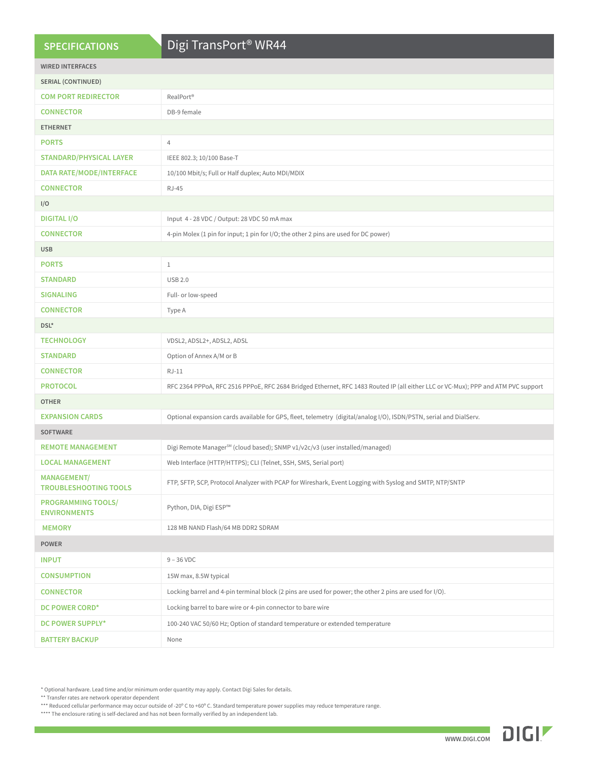## **SPECIFICATIONS**

# Digi TransPort® WR44

| <b>WIRED INTERFACES</b>                            |                                                                                                                                   |  |  |  |  |  |  |
|----------------------------------------------------|-----------------------------------------------------------------------------------------------------------------------------------|--|--|--|--|--|--|
| SERIAL (CONTINUED)                                 |                                                                                                                                   |  |  |  |  |  |  |
| <b>COM PORT REDIRECTOR</b>                         | RealPort <sup>®</sup>                                                                                                             |  |  |  |  |  |  |
| <b>CONNECTOR</b>                                   | DB-9 female                                                                                                                       |  |  |  |  |  |  |
| <b>ETHERNET</b>                                    |                                                                                                                                   |  |  |  |  |  |  |
| <b>PORTS</b>                                       | $\overline{4}$                                                                                                                    |  |  |  |  |  |  |
| <b>STANDARD/PHYSICAL LAYER</b>                     | IEEE 802.3; 10/100 Base-T                                                                                                         |  |  |  |  |  |  |
| <b>DATA RATE/MODE/INTERFACE</b>                    | 10/100 Mbit/s; Full or Half duplex; Auto MDI/MDIX                                                                                 |  |  |  |  |  |  |
| <b>CONNECTOR</b>                                   | <b>RJ-45</b>                                                                                                                      |  |  |  |  |  |  |
| I/O                                                |                                                                                                                                   |  |  |  |  |  |  |
| <b>DIGITAL I/O</b>                                 | Input 4 - 28 VDC / Output: 28 VDC 50 mA max                                                                                       |  |  |  |  |  |  |
| <b>CONNECTOR</b>                                   | 4-pin Molex (1 pin for input; 1 pin for I/O; the other 2 pins are used for DC power)                                              |  |  |  |  |  |  |
| <b>USB</b>                                         |                                                                                                                                   |  |  |  |  |  |  |
| <b>PORTS</b>                                       | $\mathbf{1}$                                                                                                                      |  |  |  |  |  |  |
| <b>STANDARD</b>                                    | <b>USB 2.0</b>                                                                                                                    |  |  |  |  |  |  |
| <b>SIGNALING</b>                                   | Full- or low-speed                                                                                                                |  |  |  |  |  |  |
| <b>CONNECTOR</b>                                   | Type A                                                                                                                            |  |  |  |  |  |  |
| DSL*                                               |                                                                                                                                   |  |  |  |  |  |  |
| <b>TECHNOLOGY</b>                                  | VDSL2, ADSL2+, ADSL2, ADSL                                                                                                        |  |  |  |  |  |  |
| <b>STANDARD</b>                                    | Option of Annex A/M or B                                                                                                          |  |  |  |  |  |  |
| <b>CONNECTOR</b>                                   | $RJ-11$                                                                                                                           |  |  |  |  |  |  |
| <b>PROTOCOL</b>                                    | RFC 2364 PPPoA, RFC 2516 PPPoE, RFC 2684 Bridged Ethernet, RFC 1483 Routed IP (all either LLC or VC-Mux); PPP and ATM PVC support |  |  |  |  |  |  |
| <b>OTHER</b>                                       |                                                                                                                                   |  |  |  |  |  |  |
| <b>EXPANSION CARDS</b>                             | Optional expansion cards available for GPS, fleet, telemetry (digital/analog I/O), ISDN/PSTN, serial and DialServ.                |  |  |  |  |  |  |
| <b>SOFTWARE</b>                                    |                                                                                                                                   |  |  |  |  |  |  |
| <b>REMOTE MANAGEMENT</b>                           | Digi Remote Manager <sup>sM</sup> (cloud based); SNMP v1/v2c/v3 (user installed/managed)                                          |  |  |  |  |  |  |
| <b>LOCAL MANAGEMENT</b>                            | Web Interface (HTTP/HTTPS); CLI (Telnet, SSH, SMS, Serial port)                                                                   |  |  |  |  |  |  |
| <b>MANAGEMENT/</b><br><b>TROUBLESHOOTING TOOLS</b> | FTP, SFTP, SCP, Protocol Analyzer with PCAP for Wireshark, Event Logging with Syslog and SMTP, NTP/SNTP                           |  |  |  |  |  |  |
| <b>PROGRAMMING TOOLS/</b><br><b>ENVIRONMENTS</b>   | Python, DIA, Digi ESP™                                                                                                            |  |  |  |  |  |  |
| <b>MEMORY</b>                                      | 128 MB NAND Flash/64 MB DDR2 SDRAM                                                                                                |  |  |  |  |  |  |
| <b>POWER</b>                                       |                                                                                                                                   |  |  |  |  |  |  |
| <b>INPUT</b>                                       | $9 - 36$ VDC                                                                                                                      |  |  |  |  |  |  |
| <b>CONSUMPTION</b>                                 | 15W max, 8.5W typical                                                                                                             |  |  |  |  |  |  |
| <b>CONNECTOR</b>                                   | Locking barrel and 4-pin terminal block (2 pins are used for power; the other 2 pins are used for I/O).                           |  |  |  |  |  |  |
| DC POWER CORD*                                     | Locking barrel to bare wire or 4-pin connector to bare wire                                                                       |  |  |  |  |  |  |
| DC POWER SUPPLY*                                   | 100-240 VAC 50/60 Hz; Option of standard temperature or extended temperature                                                      |  |  |  |  |  |  |
| <b>BATTERY BACKUP</b>                              | None                                                                                                                              |  |  |  |  |  |  |
|                                                    |                                                                                                                                   |  |  |  |  |  |  |

\* Optional hardware. Lead time and/or minimum order quantity may apply. Contact Digi Sales for details.

\*\* Transfer rates are network operator dependent

\*\*\* Reduced cellular performance may occur outside of -20° C to +60° C. Standard temperature power supplies may reduce temperature range.

\*\*\*\* The enclosure rating is self-declared and has not been formally verified by an independent lab.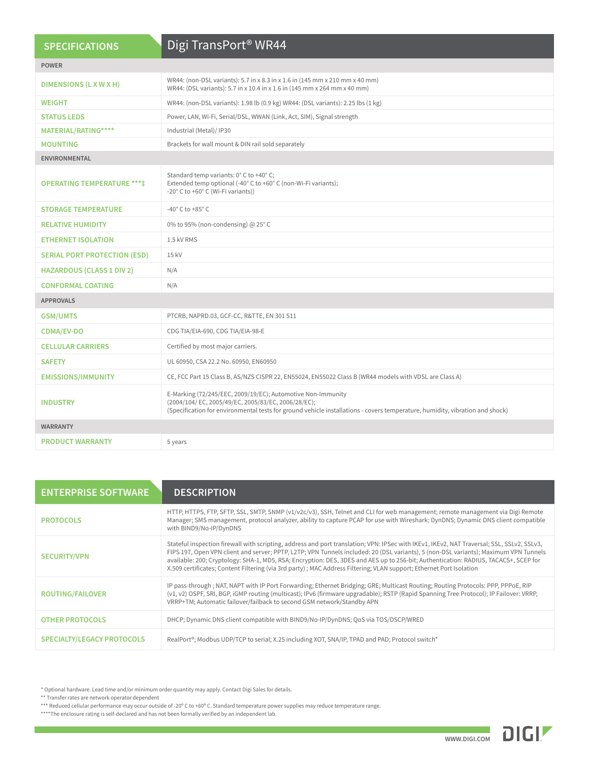|                                     | Digi TransPort <sup>®</sup> WR44                                                                                                                                                                                                                  |  |  |  |  |  |  |
|-------------------------------------|---------------------------------------------------------------------------------------------------------------------------------------------------------------------------------------------------------------------------------------------------|--|--|--|--|--|--|
| <b>SPECIFICATIONS</b>               |                                                                                                                                                                                                                                                   |  |  |  |  |  |  |
| <b>POWER</b>                        |                                                                                                                                                                                                                                                   |  |  |  |  |  |  |
| DIMENSIONS (L X W X H)              | WR44: (non-DSL variants): 5.7 in x 8.3 in x 1.6 in (145 mm x 210 mm x 40 mm)<br>WR44: (DSL variants): 5.7 in x 10.4 in x 1.6 in (145 mm x 264 mm x 40 mm)                                                                                         |  |  |  |  |  |  |
| <b>WEIGHT</b>                       | WR44: (non-DSL variants): 1.98 lb (0.9 kg) WR44: (DSL variants): 2.25 lbs (1 kg)                                                                                                                                                                  |  |  |  |  |  |  |
| <b>STATUS LEDS</b>                  | Power, LAN, Wi-Fi, Serial/DSL, WWAN (Link, Act, SIM), Signal strength                                                                                                                                                                             |  |  |  |  |  |  |
| MATERIAL/RATING****                 | Industrial (Metal)/ IP30                                                                                                                                                                                                                          |  |  |  |  |  |  |
| <b>MOUNTING</b>                     | Brackets for wall mount & DIN rail sold separately                                                                                                                                                                                                |  |  |  |  |  |  |
| <b>ENVIRONMENTAL</b>                |                                                                                                                                                                                                                                                   |  |  |  |  |  |  |
| <b>OPERATING TEMPERATURE ****</b>   | Standard temp variants: 0° C to +40° C;<br>Extended temp optional (-40° C to +60° C (non-Wi-Fi variants);<br>-20° C to +60° C (Wi-Fi variants))                                                                                                   |  |  |  |  |  |  |
| <b>STORAGE TEMPERATURE</b>          | -40 $^{\circ}$ C to +85 $^{\circ}$ C                                                                                                                                                                                                              |  |  |  |  |  |  |
| <b>RELATIVE HUMIDITY</b>            | 0% to 95% (non-condensing) @ 25°C                                                                                                                                                                                                                 |  |  |  |  |  |  |
| <b>ETHERNET ISOLATION</b>           | 1.5 kV RMS                                                                                                                                                                                                                                        |  |  |  |  |  |  |
| <b>SERIAL PORT PROTECTION (ESD)</b> | 15 kV                                                                                                                                                                                                                                             |  |  |  |  |  |  |
| <b>HAZARDOUS (CLASS 1 DIV 2)</b>    | N/A                                                                                                                                                                                                                                               |  |  |  |  |  |  |
| <b>CONFORMAL COATING</b>            | N/A                                                                                                                                                                                                                                               |  |  |  |  |  |  |
| <b>APPROVALS</b>                    |                                                                                                                                                                                                                                                   |  |  |  |  |  |  |
| <b>GSM/UMTS</b>                     | PTCRB, NAPRD.03, GCF-CC, R&TTE, EN 301 511                                                                                                                                                                                                        |  |  |  |  |  |  |
| <b>CDMA/EV-DO</b>                   | CDG TIA/EIA-690, CDG TIA/EIA-98-E                                                                                                                                                                                                                 |  |  |  |  |  |  |
| <b>CELLULAR CARRIERS</b>            | Certified by most major carriers.                                                                                                                                                                                                                 |  |  |  |  |  |  |
| <b>SAFETY</b>                       | UL 60950, CSA 22.2 No. 60950, EN60950                                                                                                                                                                                                             |  |  |  |  |  |  |
| <b>EMISSIONS/IMMUNITY</b>           | CE, FCC Part 15 Class B, AS/NZS CISPR 22, EN55024, EN55022 Class B (WR44 models with VDSL are Class A)                                                                                                                                            |  |  |  |  |  |  |
| <b>INDUSTRY</b>                     | E-Marking (72/245/EEC, 2009/19/EC); Automotive Non-Immunity<br>(2004/104/EC, 2005/49/EC, 2005/83/EC, 2006/28/EC);<br>(Specification for environmental tests for ground vehicle installations - covers temperature, humidity, vibration and shock) |  |  |  |  |  |  |
| <b>WARRANTY</b>                     |                                                                                                                                                                                                                                                   |  |  |  |  |  |  |
| <b>PRODUCT WARRANTY</b>             | 5 years                                                                                                                                                                                                                                           |  |  |  |  |  |  |

| <b>ENTERPRISE SOFTWARE</b>        | <b>DESCRIPTION</b>                                                                                                                                                                                                                                                                                                                                                                                                                                                                                                                               |
|-----------------------------------|--------------------------------------------------------------------------------------------------------------------------------------------------------------------------------------------------------------------------------------------------------------------------------------------------------------------------------------------------------------------------------------------------------------------------------------------------------------------------------------------------------------------------------------------------|
| <b>PROTOCOLS</b>                  | HTTP, HTTPS, FTP, SFTP, SSL, SMTP, SNMP (v1/v2c/v3), SSH, Telnet and CLI for web management; remote management via Digi Remote<br>Manager; SMS management, protocol analyzer, ability to capture PCAP for use with Wireshark; DynDNS; Dynamic DNS client compatible<br>with BIND9/No-IP/DynDNS                                                                                                                                                                                                                                                   |
| <b>SECURITY/VPN</b>               | Stateful inspection firewall with scripting, address and port translation; VPN: IPSec with IKEv1, IKEv2, NAT Traversal; SSL, SSLv2, SSLv3,<br>FIPS 197, Open VPN client and server; PPTP, L2TP; VPN Tunnels included: 20 (DSL variants), 5 (non-DSL variants); Maximum VPN Tunnels<br>available: 200; Cryptology: SHA-1, MD5, RSA; Encryption: DES, 3DES and AES up to 256-bit; Authentication: RADIUS, TACACS+, SCEP for<br>X.509 certificates; Content Filtering (via 3rd party); MAC Address Filtering; VLAN support; Ethernet Port Isolation |
| <b>ROUTING/FAILOVER</b>           | IP pass-through; NAT, NAPT with IP Port Forwarding; Ethernet Bridging; GRE; Multicast Routing; Routing Protocols: PPP, PPPoE, RIP<br>(v1, v2) OSPF, SRI, BGP, iGMP routing (multicast); IPv6 (firmware upgradable); RSTP (Rapid Spanning Tree Protocol); IP Failover: VRRP,<br>VRRP+TM; Automatic failover/failback to second GSM network/Standby APN                                                                                                                                                                                            |
| <b>OTHER PROTOCOLS</b>            | DHCP; Dynamic DNS client compatible with BIND9/No-IP/DynDNS; OoS via TOS/DSCP/WRED                                                                                                                                                                                                                                                                                                                                                                                                                                                               |
| <b>SPECIALTY/LEGACY PROTOCOLS</b> | RealPort®; Modbus UDP/TCP to serial; X.25 including XOT, SNA/IP, TPAD and PAD; Protocol switch*                                                                                                                                                                                                                                                                                                                                                                                                                                                  |

\* Optional hardware. Lead time and/or minimum order quantity may apply. Contact Digi Sales for details.

\*\* Transfer rates are network operator dependent

\*\*\* Reduced cellular performance may occur outside of -20º C to +60º C. Standard temperature power supplies may reduce temperature range.

\*\*\*\*The enclosure rating is self-declared and has not been formally verified by an independent lab.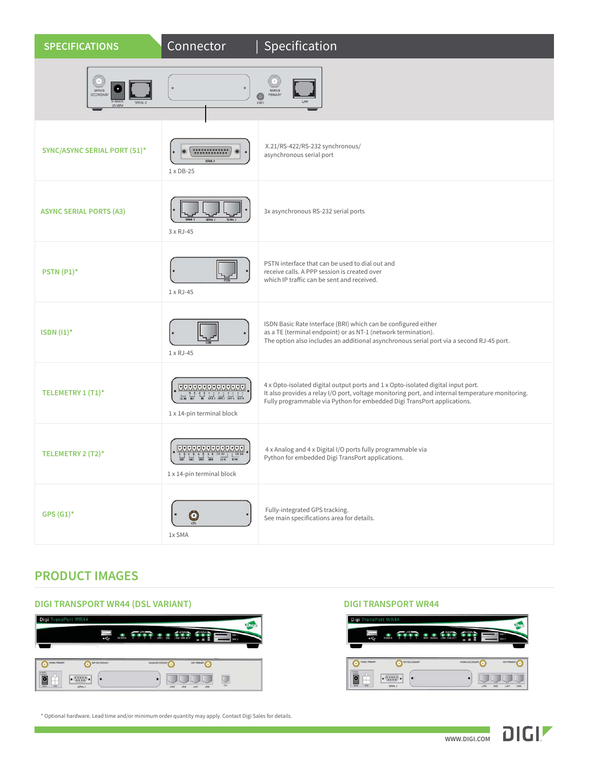| <b>SPECIFICATIONS</b>                                        | Connector                                                                                                                                                                                        | Specification                                                                                                                                                                                                                                                   |
|--------------------------------------------------------------|--------------------------------------------------------------------------------------------------------------------------------------------------------------------------------------------------|-----------------------------------------------------------------------------------------------------------------------------------------------------------------------------------------------------------------------------------------------------------------|
| ٠<br>WWAN<br>SECONDARY<br>$-48VD$<br>SERIAL<br><b>ZA MAX</b> |                                                                                                                                                                                                  | WWAN<br>PRIMARY<br>$\bigodot$                                                                                                                                                                                                                                   |
| <b>SYNC/ASYNC SERIAL PORT (S1)*</b>                          | <br>SERM 1<br>$1 \times DB-25$                                                                                                                                                                   | X.21/RS-422/RS-232 synchronous/<br>asynchronous serial port                                                                                                                                                                                                     |
| <b>ASYNC SERIAL PORTS (A3)</b>                               | 3 x RJ-45                                                                                                                                                                                        | 3x asynchronous RS-232 serial ports                                                                                                                                                                                                                             |
| <b>PSTN (P1)*</b>                                            | 1 x RJ-45                                                                                                                                                                                        | PSTN interface that can be used to dial out and<br>receive calls. A PPP session is created over<br>which IP traffic can be sent and received.                                                                                                                   |
| ISDN $(1)^*$                                                 | 1 x RJ-45                                                                                                                                                                                        | ISDN Basic Rate Interface (BRI) which can be configured either<br>as a TE (terminal endpoint) or as NT-1 (network termination).<br>The option also includes an additional asynchronous serial port via a second RJ-45 port.                                     |
| TELEMETRY 1 (T1)*                                            | 11111111111111<br>$\frac{1}{\sqrt{2}}$ and $\frac{1}{\sqrt{2}}$ and $\frac{1}{\sqrt{2}}$ and $\frac{1}{\sqrt{2}}$ and $\frac{1}{\sqrt{2}}$ and $\frac{1}{\sqrt{2}}$<br>1 x 14-pin terminal block | 4 x Opto-isolated digital output ports and 1 x Opto-isolated digital input port.<br>It also provides a relay I/O port, voltage monitoring port, and internal temperature monitoring.<br>Fully programmable via Python for embedded Digi TransPort applications. |
| TELEMETRY 2 (T2)*                                            | 1 x 14-pin terminal block                                                                                                                                                                        | 4 x Analog and 4 x Digital I/O ports fully programmable via<br>Python for embedded Digi TransPort applications.                                                                                                                                                 |
| $GPS (G1)*$                                                  | $\bm{\odot}$<br>1x SMA                                                                                                                                                                           | Fully-integrated GPS tracking.<br>See main specifications area for details.                                                                                                                                                                                     |

## **PRODUCT IMAGES**

### **DIGI TRANSPORT WR44 (DSL VARIANT) DIGI TRANSPORT WR44** Digi TransPort WR4 **IDI**  $\mathbb{R}^n$  $\begin{picture}(100,100)(0,0) \put(0,0){\vector(1,0){100}} \put(0,0){\vector(1,0){100}} \put(0,0){\vector(1,0){100}} \put(0,0){\vector(1,0){100}} \put(0,0){\vector(1,0){100}} \put(0,0){\vector(1,0){100}} \put(0,0){\vector(1,0){100}} \put(0,0){\vector(1,0){100}} \put(0,0){\vector(1,0){100}} \put(0,0){\vector(1,0){100}} \put(0,0){\vector(1,0){100}} \put(0,$  $\overline{\mathbf{O}}$  $\bullet$ WWW.ECCHEMIN' O writing O  $\overline{\mathbf{C}}$  $\left| {\scriptstyle \bullet}\begin{array}{c} (0\ 0\ 0\ 0\ 0 \\ (0\ 0\ 0\ 0 \end{array} \right) {\scriptstyle \bullet} \right| \quad \left| \bullet\begin{array}{c} \\ \\ \\ \\ \end{array} \right.$  $\boxed{\mathbb{R}}$  $\cdot$ **Colorado de la colorad**